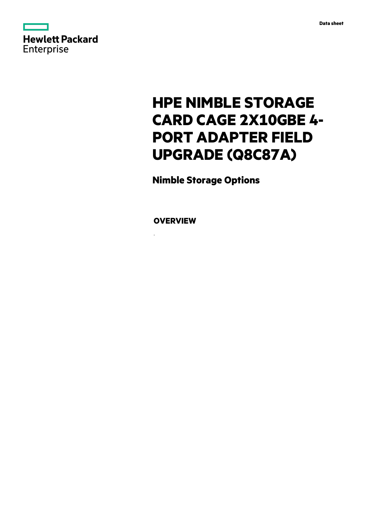

# **HPE NIMBLE STORAGE CARD CAGE 2X10GBE 4- PORT ADAPTER FIELD UPGRADE (Q8C87A)**

**Nimble Storage Options**

**OVERVIEW**

.